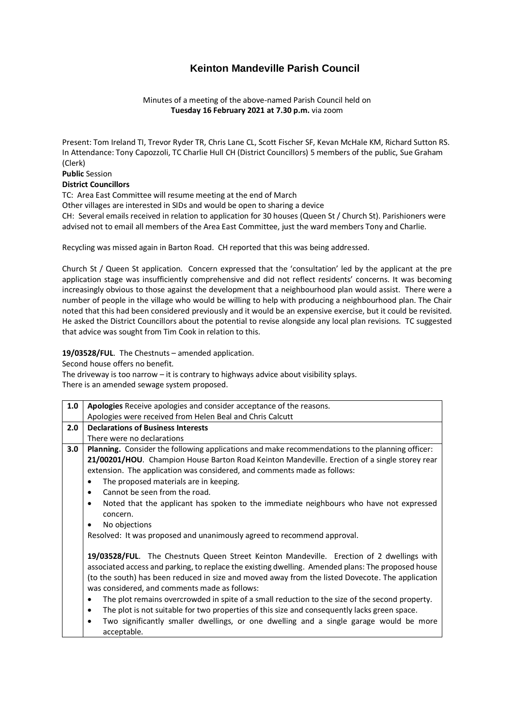## **Keinton Mandeville Parish Council**

Minutes of a meeting of the above-named Parish Council held on **Tuesday 16 February 2021 at 7.30 p.m.** via zoom

Present: Tom Ireland TI, Trevor Ryder TR, Chris Lane CL, Scott Fischer SF, Kevan McHale KM, Richard Sutton RS. In Attendance: Tony Capozzoli, TC Charlie Hull CH (District Councillors) 5 members of the public, Sue Graham (Clerk)

**Public** Session

## **District Councillors**

TC: Area East Committee will resume meeting at the end of March

Other villages are interested in SIDs and would be open to sharing a device

CH: Several emails received in relation to application for 30 houses (Queen St / Church St). Parishioners were advised not to email all members of the Area East Committee, just the ward members Tony and Charlie.

Recycling was missed again in Barton Road. CH reported that this was being addressed.

Church St / Queen St application. Concern expressed that the 'consultation' led by the applicant at the pre application stage was insufficiently comprehensive and did not reflect residents' concerns. It was becoming increasingly obvious to those against the development that a neighbourhood plan would assist. There were a number of people in the village who would be willing to help with producing a neighbourhood plan. The Chair noted that this had been considered previously and it would be an expensive exercise, but it could be revisited. He asked the District Councillors about the potential to revise alongside any local plan revisions. TC suggested that advice was sought from Tim Cook in relation to this.

**19/03528/FUL**. The Chestnuts – amended application.

Second house offers no benefit.

The driveway is too narrow – it is contrary to highways advice about visibility splays. There is an amended sewage system proposed.

| 1.0 | Apologies Receive apologies and consider acceptance of the reasons.                                 |
|-----|-----------------------------------------------------------------------------------------------------|
|     | Apologies were received from Helen Beal and Chris Calcutt                                           |
| 2.0 | <b>Declarations of Business Interests</b>                                                           |
|     | There were no declarations                                                                          |
| 3.0 | Planning. Consider the following applications and make recommendations to the planning officer:     |
|     | 21/00201/HOU. Champion House Barton Road Keinton Mandeville. Erection of a single storey rear       |
|     | extension. The application was considered, and comments made as follows:                            |
|     | The proposed materials are in keeping.<br>٠                                                         |
|     | Cannot be seen from the road.<br>$\bullet$                                                          |
|     | Noted that the applicant has spoken to the immediate neighbours who have not expressed<br>$\bullet$ |
|     | concern.                                                                                            |
|     | No objections<br>٠                                                                                  |
|     | Resolved: It was proposed and unanimously agreed to recommend approval.                             |
|     |                                                                                                     |
|     | 19/03528/FUL. The Chestnuts Queen Street Keinton Mandeville. Erection of 2 dwellings with           |
|     | associated access and parking, to replace the existing dwelling. Amended plans: The proposed house  |
|     | (to the south) has been reduced in size and moved away from the listed Dovecote. The application    |
|     | was considered, and comments made as follows:                                                       |
|     | The plot remains overcrowded in spite of a small reduction to the size of the second property.<br>٠ |

- The plot is not suitable for two properties of this size and consequently lacks green space.
- Two significantly smaller dwellings, or one dwelling and a single garage would be more acceptable.